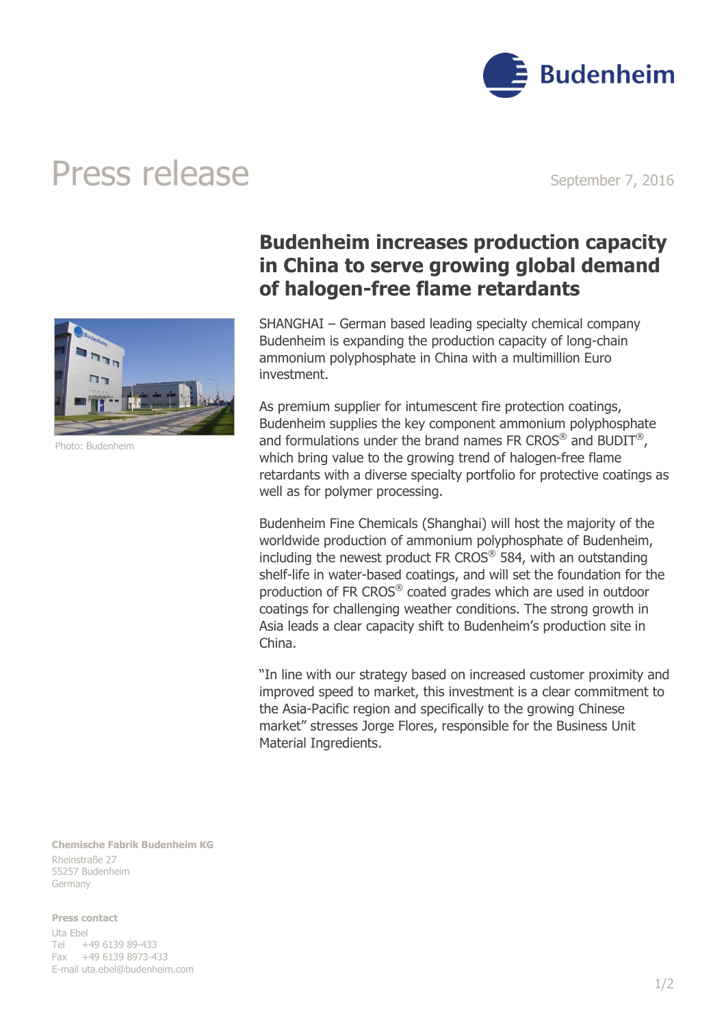

## Press release September 7, 2016



Photo: Budenheim

## **Budenheim increases production capacity in China to serve growing global demand of halogen-free flame retardants**

SHANGHAI – German based leading specialty chemical company Budenheim is expanding the production capacity of long-chain ammonium polyphosphate in China with a multimillion Euro investment.

As premium supplier for intumescent fire protection coatings, Budenheim supplies the key component ammonium polyphosphate and formulations under the brand names FR CROS<sup>®</sup> and BUDIT<sup>®</sup>, which bring value to the growing trend of halogen-free flame retardants with a diverse specialty portfolio for protective coatings as well as for polymer processing.

Budenheim Fine Chemicals (Shanghai) will host the majority of the worldwide production of ammonium polyphosphate of Budenheim, including the newest product FR CROS<sup>®</sup> 584, with an outstanding shelf-life in water-based coatings, and will set the foundation for the production of FR CROS® coated grades which are used in outdoor coatings for challenging weather conditions. The strong growth in Asia leads a clear capacity shift to Budenheim's production site in China.

"In line with our strategy based on increased customer proximity and improved speed to market, this investment is a clear commitment to the Asia-Pacific region and specifically to the growing Chinese market" stresses Jorge Flores, responsible for the Business Unit Material Ingredients.

**Chemische Fabrik Budenheim KG** Rheinstraße 27 55257 Budenheim Germany

**Press contact** Uta Ebel Tel +49 6139 89-433 Fax +49 6139 8973-433 E-mail [uta.ebel@budenheim.com](mailto:uta.ebel@budenheim.com)